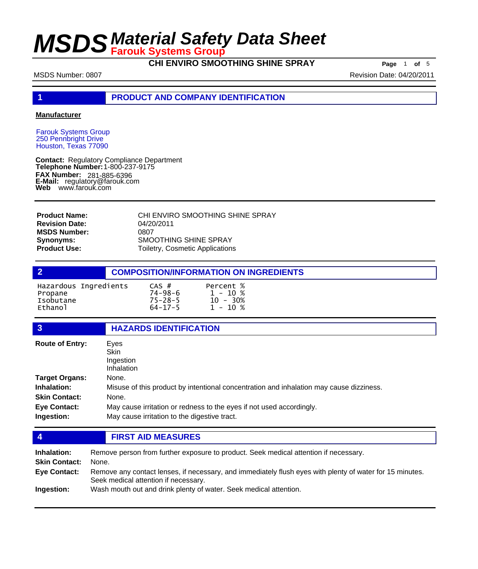**CHI ENVIRO SMOOTHING SHINE SPRAY Page** <sup>1</sup> **of** <sup>5</sup>

MSDS Number: 0807 No. 2012 01:30 No. 2012 01:30 No. 2012 01:40 No. 2012 01:40 No. 2012 01:40 No. 2012 01:40 No. 2014 01:40 No. 2014 01:40 No. 2014 01:40 No. 2014 01:40 No. 2014 01:40 No. 2014 01:40 No. 2014 01:40 No. 2014

**1 PRODUCT AND COMPANY IDENTIFICATION**

#### **Manufacturer**

Farouk Systems Group 250 Pennbright Drive Houston, Texas 77090

**Contact: Telephone Number: FAX Number: E-Mail: Web** Regulatory Compliance Department 1-800-237-9175 **nber:** 281-885-6396<br>regulatory@farouk.com www.farouk.com

| <b>Product Name:</b>  | CHI ENVIRO SMOOTHING SHINE SPRAY       |
|-----------------------|----------------------------------------|
| <b>Revision Date:</b> | 04/20/2011                             |
| <b>MSDS Number:</b>   | 0807                                   |
| Synonyms:             | SMOOTHING SHINE SPRAY                  |
| <b>Product Use:</b>   | <b>Toiletry, Cosmetic Applications</b> |

|                                                          |                                                            | <b>COMPOSITION/INFORMATION ON INGREDIENTS</b>       |  |
|----------------------------------------------------------|------------------------------------------------------------|-----------------------------------------------------|--|
| Hazardous Ingredients<br>Propane<br>Isobutane<br>Ethanol | $CAS$ #<br>$74 - 98 - 6$<br>$75 - 28 - 5$<br>$64 - 17 - 5$ | Percent %<br>$1 - 10 %$<br>$10 - 30%$<br>$1 - 10 %$ |  |

| $\overline{3}$                                                                             | <b>HAZARDS IDENTIFICATION</b>                                                                                                                                                                                                     |
|--------------------------------------------------------------------------------------------|-----------------------------------------------------------------------------------------------------------------------------------------------------------------------------------------------------------------------------------|
| <b>Route of Entry:</b>                                                                     | Eyes<br><b>Skin</b><br>Ingestion<br>Inhalation                                                                                                                                                                                    |
| Target Organs:<br><b>Inhalation:</b><br><b>Skin Contact:</b><br>Eye Contact:<br>Ingestion: | None.<br>Misuse of this product by intentional concentration and inhalation may cause dizziness.<br>None.<br>May cause irritation or redness to the eyes if not used accordingly.<br>May cause irritation to the digestive tract. |

| <b>4</b>                            | <b>FIRST AID MEASURES</b>                                                                                                                        |
|-------------------------------------|--------------------------------------------------------------------------------------------------------------------------------------------------|
| Inhalation:<br><b>Skin Contact:</b> | Remove person from further exposure to product. Seek medical attention if necessary.<br>None.                                                    |
| <b>Eye Contact:</b>                 | Remove any contact lenses, if necessary, and immediately flush eyes with plenty of water for 15 minutes.<br>Seek medical attention if necessary. |
| Ingestion:                          | Wash mouth out and drink plenty of water. Seek medical attention.                                                                                |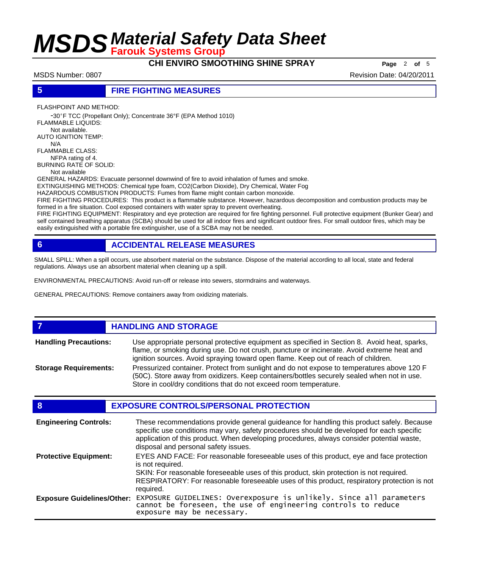**CHI ENVIRO SMOOTHING SHINE SPRAY Page** <sup>2</sup> **of** <sup>5</sup>

MSDS Number: 0807 Number: 0807 Number: 0807 Number: 0807 Number: 0807 Number: 0807 Number: 04/20/2011

### **5 FIRE FIGHTING MEASURES**

FLASHPOINT AND METHOD:

 -30ºF TCC (Propellant Only); Concentrate 36°F (EPA Method 1010) FLAMMABLE LIQUIDS: Not available. AUTO IGNITION TEMP: N/A FLAMMABLE CLASS: NFPA rating of 4. BURNING RATE OF SOLID: Not available

GENERAL HAZARDS: Evacuate personnel downwind of fire to avoid inhalation of fumes and smoke.

EXTINGUISHING METHODS: Chemical type foam, CO2(Carbon Dioxide), Dry Chemical, Water Fog

HAZARDOUS COMBUSTION PRODUCTS: Fumes from flame might contain carbon monoxide.

FIRE FIGHTING PROCEDURES: This product is a flammable substance. However, hazardous decomposition and combustion products may be formed in a fire situation. Cool exposed containers with water spray to prevent overheating.

FIRE FIGHTING EQUIPMENT: Respiratory and eye protection are required for fire fighting personnel. Full protective equipment (Bunker Gear) and self contained breathing apparatus (SCBA) should be used for all indoor fires and significant outdoor fires. For small outdoor fires, which may be easily extinguished with a portable fire extinguisher, use of a SCBA may not be needed.

### **6 ACCIDENTAL RELEASE MEASURES**

SMALL SPILL: When a spill occurs, use absorbent material on the substance. Dispose of the material according to all local, state and federal regulations. Always use an absorbent material when cleaning up a spill.

ENVIRONMENTAL PRECAUTIONS: Avoid run-off or release into sewers, stormdrains and waterways.

GENERAL PRECAUTIONS: Remove containers away from oxidizing materials.

|                              | <b>HANDLING AND STORAGE</b>                                                                                                                                                                                                                                                      |
|------------------------------|----------------------------------------------------------------------------------------------------------------------------------------------------------------------------------------------------------------------------------------------------------------------------------|
| <b>Handling Precautions:</b> | Use appropriate personal protective equipment as specified in Section 8. Avoid heat, sparks,<br>flame, or smoking during use. Do not crush, puncture or incinerate. Avoid extreme heat and<br>ignition sources. Avoid spraying toward open flame. Keep out of reach of children. |
| <b>Storage Requirements:</b> | Pressurized container. Protect from sunlight and do not expose to temperatures above 120 F<br>(50C). Store away from oxidizers. Keep containers/bottles securely sealed when not in use.<br>Store in cool/dry conditions that do not exceed room temperature.                    |

| 8                                 | <b>EXPOSURE CONTROLS/PERSONAL PROTECTION</b>                                                                                                                                                                                                                                                                                |
|-----------------------------------|-----------------------------------------------------------------------------------------------------------------------------------------------------------------------------------------------------------------------------------------------------------------------------------------------------------------------------|
| <b>Engineering Controls:</b>      | These recommendations provide general guideance for handling this product safely. Because<br>specific use conditions may vary, safety procedures should be developed for each specific<br>application of this product. When developing procedures, always consider potential waste,<br>disposal and personal safety issues. |
| <b>Protective Equipment:</b>      | EYES AND FACE: For reasonable foreseeable uses of this product, eye and face protection<br>is not required.                                                                                                                                                                                                                 |
|                                   | SKIN: For reasonable foreseeable uses of this product, skin protection is not required.<br>RESPIRATORY: For reasonable foreseeable uses of this product, respiratory protection is not<br>required.                                                                                                                         |
| <b>Exposure Guidelines/Other:</b> | EXPOSURE GUIDELINES: Overexposure is unlikely. Since all parameters<br>cannot be foreseen, the use of engineering controls to reduce<br>exposure may be necessary.                                                                                                                                                          |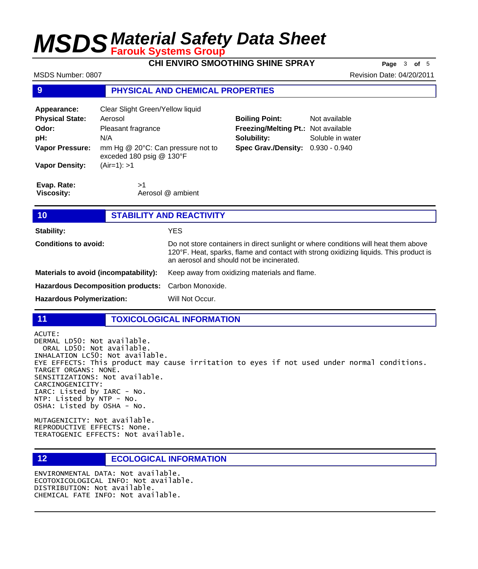**CHI ENVIRO SMOOTHING SHINE SPRAY Page** <sup>3</sup> **of** <sup>5</sup>

MSDS Number: 0807 Revision Date: 04/20/2011

### **9 PHYSICAL AND CHEMICAL PROPERTIES**

| Appearance:                      | Clear Slight Green/Yellow liquid                              |                                     |                  |
|----------------------------------|---------------------------------------------------------------|-------------------------------------|------------------|
| <b>Physical State:</b>           | Aerosol                                                       | <b>Boiling Point:</b>               | Not available    |
| Odor:                            | Pleasant fragrance                                            | Freezing/Melting Pt.: Not available |                  |
| pH:                              | N/A                                                           | Solubility:                         | Soluble in water |
| <b>Vapor Pressure:</b>           | mm Hg @ 20°C: Can pressure not to<br>exceded 180 psig @ 130°F | Spec Grav./Density: 0.930 - 0.940   |                  |
| <b>Vapor Density:</b>            | $(Air=1): >1$                                                 |                                     |                  |
| Evap. Rate:<br><b>Viscosity:</b> | >1<br>Aerosol @ ambient                                       |                                     |                  |

| 10                                                 | <b>STABILITY AND REACTIVITY</b> |                                                                                                                                                                                                                           |
|----------------------------------------------------|---------------------------------|---------------------------------------------------------------------------------------------------------------------------------------------------------------------------------------------------------------------------|
| Stability:                                         |                                 | <b>YES</b>                                                                                                                                                                                                                |
| <b>Conditions to avoid:</b>                        |                                 | Do not store containers in direct sunlight or where conditions will heat them above<br>120°F. Heat, sparks, flame and contact with strong oxidizing liquids. This product is<br>an aerosol and should not be incinerated. |
| Materials to avoid (incompatability):              |                                 | Keep away from oxidizing materials and flame.                                                                                                                                                                             |
| Hazardous Decomposition products: Carbon Monoxide. |                                 |                                                                                                                                                                                                                           |
| <b>Hazardous Polymerization:</b>                   |                                 | Will Not Occur.                                                                                                                                                                                                           |

#### **11 TOXICOLOGICAL INFORMATION**

ACUTE: DERMAL LD50: Not available. ORAL LD50: Not available. INHALATION LC50: Not available. EYE EFFECTS: This product may cause irritation to eyes if not used under normal conditions. TARGET ORGANS: NONE. SENSITIZATIONS: Not available. CARCINOGENICITY: IARC: Listed by IARC - No. NTP: Listed by NTP - No. OSHA: Listed by OSHA - No.

MUTAGENICITY: Not available. REPRODUCTIVE EFFECTS: None. TERATOGENIC EFFECTS: Not available.

### **12 ECOLOGICAL INFORMATION**

ENVIRONMENTAL DATA: Not available. ECOTOXICOLOGICAL INFO: Not available. DISTRIBUTION: Not available. CHEMICAL FATE INFO: Not available.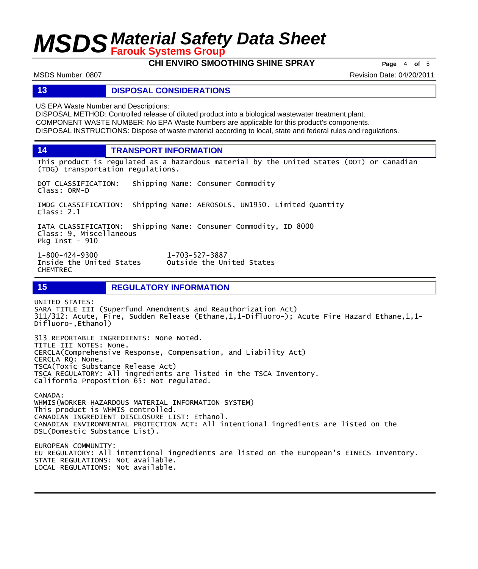**CHI ENVIRO SMOOTHING SHINE SPRAY Page** <sup>4</sup> **of** <sup>5</sup>

MSDS Number: 0807 Revision Date: 04/20/2011

#### **13 DISPOSAL CONSIDERATIONS**

US EPA Waste Number and Descriptions:

DISPOSAL METHOD: Controlled release of diluted product into a biological wastewater treatment plant. COMPONENT WASTE NUMBER: No EPA Waste Numbers are applicable for this product's components. DISPOSAL INSTRUCTIONS: Dispose of waste material according to local, state and federal rules and regulations.

**14 TRANSPORT INFORMATION**

This product is regulated as a hazardous material by the United States (DOT) or Canadian (TDG) transportation regulations.

DOT CLASSIFICATION: Shipping Name: Consumer Commodity Class: ORM-D

IMDG CLASSIFICATION: Shipping Name: AEROSOLS, UN1950. Limited Quantity Class: 2.1

IATA CLASSIFICATION: Shipping Name: Consumer Commodity, ID 8000 Class: 9, Miscellaneous Pkg Inst - 910

1-800-424-9300 1-703-527-3887 Inside the United States CHEMTREC

**15 REGULATORY INFORMATION**

UNITED STATES: SARA TITLE III (Superfund Amendments and Reauthorization Act) 311/312: Acute, Fire, Sudden Release (Ethane,1,1-Difluoro-); Acute Fire Hazard Ethane,1,1- Difluoro-,Ethanol)

313 REPORTABLE INGREDIENTS: None Noted. TITLE III NOTES: None. CERCLA(Comprehensive Response, Compensation, and Liability Act) CERCLA RQ: None. TSCA(Toxic Substance Release Act) TSCA REGULATORY: All ingredients are listed in the TSCA Inventory. California Proposition 65: Not regulated.

CANADA: WHMIS(WORKER HAZARDOUS MATERIAL INFORMATION SYSTEM) This product is WHMIS controlled. CANADIAN INGREDIENT DISCLOSURE LIST: Ethanol. CANADIAN ENVIRONMENTAL PROTECTION ACT: All intentional ingredients are listed on the DSL(Domestic Substance List). EUROPEAN COMMUNITY:

EU REGULATORY: All intentional ingredients are listed on the European's EINECS Inventory. STATE REGULATIONS: Not available. LOCAL REGULATIONS: Not available.